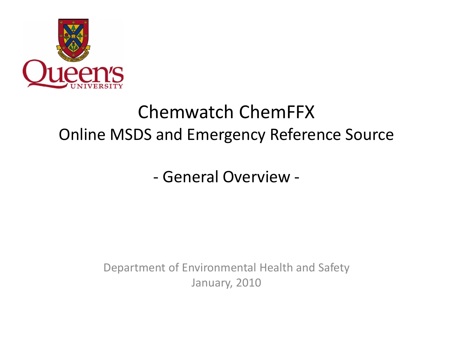

# Chemwatch ChemFFX Online MSDS and Emergency Reference Source

- General Overview -

Department of Environmental Health and Safety January, 2010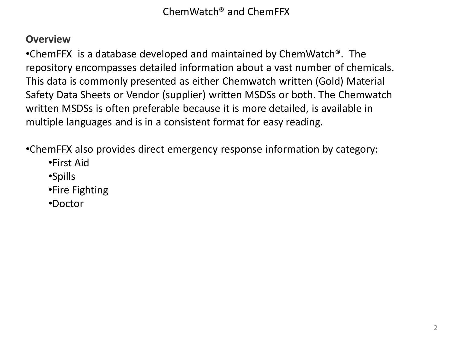## **Overview**

•ChemFFX is a database developed and maintained by ChemWatch®. The repository encompasses detailed information about a vast number of chemicals. This data is commonly presented as either Chemwatch written (Gold) Material Safety Data Sheets or Vendor (supplier) written MSDSs or both. The Chemwatch written MSDSs is often preferable because it is more detailed, is available in multiple languages and is in a consistent format for easy reading.

•ChemFFX also provides direct emergency response information by category:

- •First Aid
- •Spills
- •Fire Fighting
- •Doctor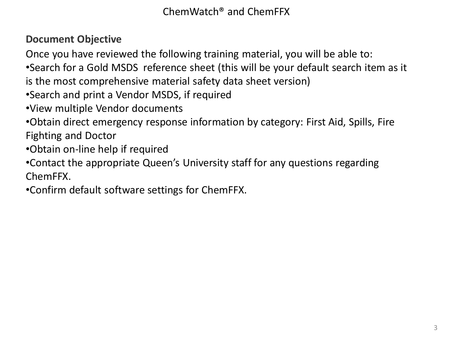# **Document Objective**

Once you have reviewed the following training material, you will be able to:

•Search for a Gold MSDS reference sheet (this will be your default search item as it is the most comprehensive material safety data sheet version)

•Search and print a Vendor MSDS, if required

•View multiple Vendor documents

•Obtain direct emergency response information by category: First Aid, Spills, Fire Fighting and Doctor

•Obtain on-line help if required

•Contact the appropriate Queen's University staff for any questions regarding ChemFFX.

•Confirm default software settings for ChemFFX.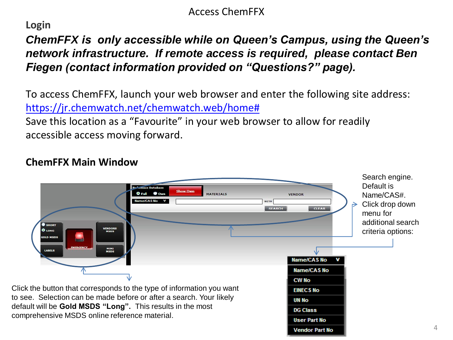### Access ChemFFX

#### **Login**

# *ChemFFX is only accessible while on Queen's Campus, using the Queen's network infrastructure. If remote access is required, please contact Ben Fiegen (contact information provided on "Questions?" page).*

To access ChemFFX, launch your web browser and enter the following site address: [https://jr.chemwatch.net/chemwa](http://jr.chemwatch.net/chemffx/)tch.web/home#

Save this location as a "Favourite" in your web browser to allow for readily accessible access moving forward.

## **ChemFFX Main Window**

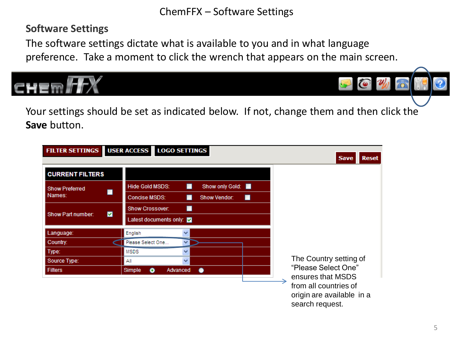### ChemFFX – Software Settings

### **Software Settings**

The software settings dictate what is available to you and in what language preference. Take a moment to click the wrench that appears on the main screen.



| <b>FILTER SETTINGS</b> | <b>USER ACCESS</b><br><b>LOGO SETTINGS</b>            |
|------------------------|-------------------------------------------------------|
|                        | <b>Reset</b><br><b>Save</b>                           |
| <b>CURRENT FILTERS</b> |                                                       |
| <b>Show Preferred</b>  | <b>Hide Gold MSDS:</b><br>Show only Gold:<br>п        |
| Names:                 | <b>Concise MSDS:</b><br><b>Show Vendor:</b><br>ш<br>ш |
|                        | <b>Show Crossover:</b><br>■                           |
| ◘<br>Show Part number: | Latest documents only: v                              |
| Language:              | English<br>$\checkmark$                               |
| Country:               | Please Select One<br>×.                               |
| Type:                  | <b>MSDS</b><br>v                                      |
| Source Type:           | The Country setting of<br>Αll<br>v                    |
| <b>Filters</b>         | "Please Select One"<br>Simple<br>۰<br>Advanced        |
|                        | ensures that MSDS                                     |
|                        | from all countries of                                 |
|                        | origin are available in a                             |
|                        | search request.                                       |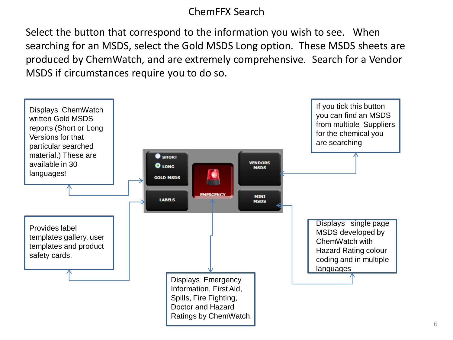## ChemFFX Search

Select the button that correspond to the information you wish to see. When searching for an MSDS, select the Gold MSDS Long option. These MSDS sheets are produced by ChemWatch, and are extremely comprehensive. Search for a Vendor MSDS if circumstances require you to do so.

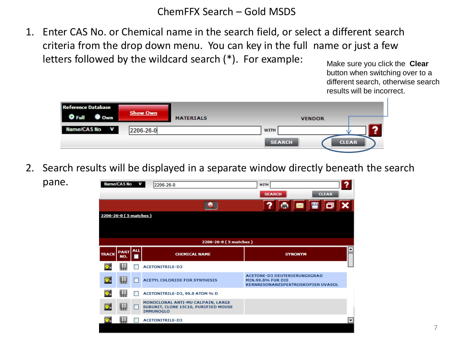#### ChemFFX Search – Gold MSDS

1. Enter CAS No. or Chemical name in the search field, or select a different search criteria from the drop down menu. You can key in the full name or just a few letters followed by the wildcard search (\*). For example:

Make sure you click the **Clear** button when switching over to a different search, otherwise search results will be incorrect.

| <b>Reference Database</b><br>) Full<br>$\bullet$ Own | <b>Show Own</b> | <b>MATERIALS</b> |                              | <b>VENDOR</b> |
|------------------------------------------------------|-----------------|------------------|------------------------------|---------------|
| Name/CAS No V                                        | 2206-26-0       |                  | <b>WITH</b><br><b>SEARCH</b> | <b>CLEAR</b>  |

2. Search results will be displayed in a separate window directly beneath the search

pane.

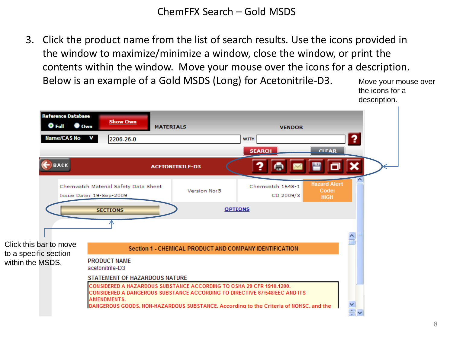ChemFFX Search – Gold MSDS

3. Click the product name from the list of search results. Use the icons provided in the window to maximize/minimize a window, close the window, or print the contents within the window. Move your mouse over the icons for a description. Below is an example of a Gold MSDS (Long) for Acetonitrile-D3.



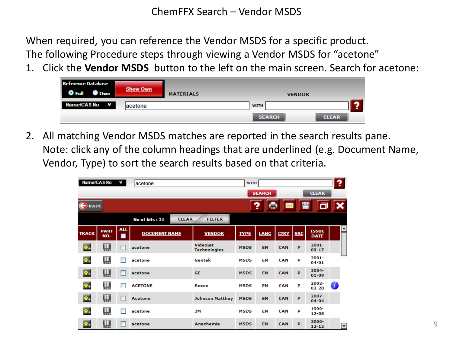When required, you can reference the Vendor MSDS for a specific product. The following Procedure steps through viewing a Vendor MSDS for "acetone"

1. Click the **Vendor MSDS** button to the left on the main screen. Search for acetone:

| <b>Reference Database</b><br><b>Own</b><br>$\sum_{i=1}^n\ u_i\ _2^2$ | <b>Show Own</b> | <b>MATERIALS</b> |             | <b>VENDOR</b> |              |
|----------------------------------------------------------------------|-----------------|------------------|-------------|---------------|--------------|
| Name/CAS No V                                                        | lacetone        |                  | <b>WITH</b> |               |              |
|                                                                      |                 |                  |             | <b>SEARCH</b> | <b>CLEAR</b> |

2. All matching Vendor MSDS matches are reported in the search results pane. Note: click any of the column headings that are underlined (e.g. Document Name, Vendor, Type) to sort the search results based on that criteria.

|              | Name/CAS No        | v               | lacetone                       |                          | <b>WITH</b> |               |             |            |                             | ? |   |
|--------------|--------------------|-----------------|--------------------------------|--------------------------|-------------|---------------|-------------|------------|-----------------------------|---|---|
|              |                    |                 |                                |                          |             | <b>SEARCH</b> |             |            | <b>CLEAR</b>                |   |   |
| <b>BACK</b>  |                    |                 |                                |                          |             | ĥ             |             |            |                             |   |   |
|              |                    |                 | <b>CLEAR</b><br>No of hits: 21 | <b>FILTER</b>            |             |               |             |            |                             |   |   |
| <b>TRACK</b> | <b>PART</b><br>NO. | <b>ALL</b><br>ш | <b>DOCUMENT NAME</b>           | <b>VENDOR</b>            | <b>TYPE</b> | <b>LANG</b>   | <b>CTRY</b> | <b>SRC</b> | <b>ISSUE</b><br><b>DATE</b> |   | Ŀ |
| o,           | 蠳                  | Г               | acetone                        | Videojet<br>Technologies | <b>MSDS</b> | EN            | CAN         | P          | $2001 -$<br>$09 - 17$       |   |   |
| o.           | $\prod_{2345}$     |                 | acetone                        | Gentek                   | <b>MSDS</b> | EN            | CAN         | P          | $2001 -$<br>$04 - 01$       |   |   |
| o.           | 艸                  | г               | acetone                        | <b>GE</b>                | <b>MSDS</b> | EN            | CAN         | P          | $2004 -$<br>$01 - 09$       |   |   |
| ø,           | $\prod_{2345}$     |                 | <b>ACETONE</b>                 | Exxon                    | <b>MSDS</b> | EN            | CAN         | P          | 2002-<br>$02 - 28$          | Ø |   |
| o.           | 蠳                  | г               | Acetone                        | <b>Johnson Matthey</b>   | <b>MSDS</b> | EN            | CAN         | P          | $2007 -$<br>$04 - 04$       |   |   |
| o.           | $\frac{1}{2}$      |                 | acetone                        | 3M                       | <b>MSDS</b> | EN            | CAN         | P          | 1999-<br>$12 - 08$          |   |   |
| o.           | 四                  | г               | acetone                        | Anachemia                | <b>MSDS</b> | EN            | CAN         | P          | 2006-<br>$12 - 12$          |   | ⊡ |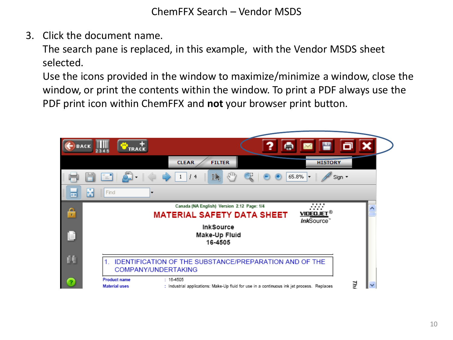3. Click the document name.

The search pane is replaced, in this example, with the Vendor MSDS sheet selected.

Use the icons provided in the window to maximize/minimize a window, close the window, or print the contents within the window. To print a PDF always use the PDF print icon within ChemFFX and **not** your browser print button.

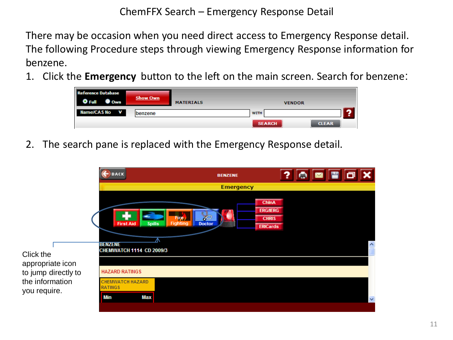ChemFFX Search – Emergency Response Detail

There may be occasion when you need direct access to Emergency Response detail. The following Procedure steps through viewing Emergency Response information for benzene.

1. Click the **Emergency** button to the left on the main screen. Search for benzene:



2. The search pane is replaced with the Emergency Response detail.

|                                 | <b>BACK</b>                                                                                 | <b>BENZENE</b>                            | H⊜ ⊠ P O B<br>?                                                                     |
|---------------------------------|---------------------------------------------------------------------------------------------|-------------------------------------------|-------------------------------------------------------------------------------------|
|                                 |                                                                                             | <b>Emergency</b>                          |                                                                                     |
| Click the<br>appropriate icon   | <b>First Aid</b><br><b>Spills</b><br>Λ<br><b>BENZENE</b><br><b>CHEMWATCH 1114 CD 2009/3</b> | Fire,<br><b>Fighting</b><br><b>Doctor</b> | <b>ChinA</b><br><b>ERG/IERG</b><br><b>CHRIS</b><br><b>ERICards</b><br>$\leq$ $\leq$ |
| to jump directly to             | <b>HAZARD RATINGS</b>                                                                       |                                           |                                                                                     |
| the information<br>you require. | <b>CHEMWATCH HAZARD</b><br><b>RATINGS</b><br><b>Min</b><br>Max                              |                                           | $\overline{\mathbf{v}}$                                                             |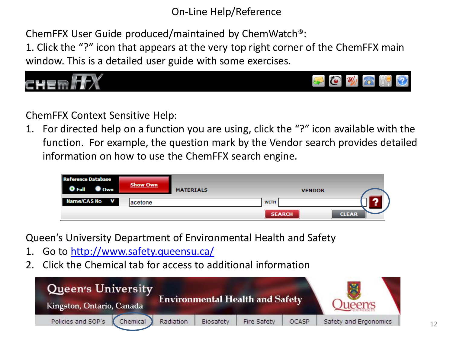On-Line Help/Reference

ChemFFX User Guide produced/maintained by ChemWatch®:

1. Click the "?" icon that appears at the very top right corner of the ChemFFX main window. This is a detailed user guide with some exercises.



ChemFFX Context Sensitive Help:

1. For directed help on a function you are using, click the "?" icon available with the function. For example, the question mark by the Vendor search provides detailed information on how to use the ChemFFX search engine.

| <b>Reference Database</b><br><b>J</b> Own | <b>Show Own</b> | <b>MATERIALS</b> | <b>VENDOR</b> |              |
|-------------------------------------------|-----------------|------------------|---------------|--------------|
| Name/CAS No<br>$\mathbf{v}$               | lacetone        |                  | <b>WITH</b>   |              |
|                                           |                 |                  | <b>SEARCH</b> | <b>CLEAR</b> |

Queen's University Department of Environmental Health and Safety

- 1. Go to<http://www.safety.queensu.ca/>
- 2. Click the Chemical tab for access to additional information